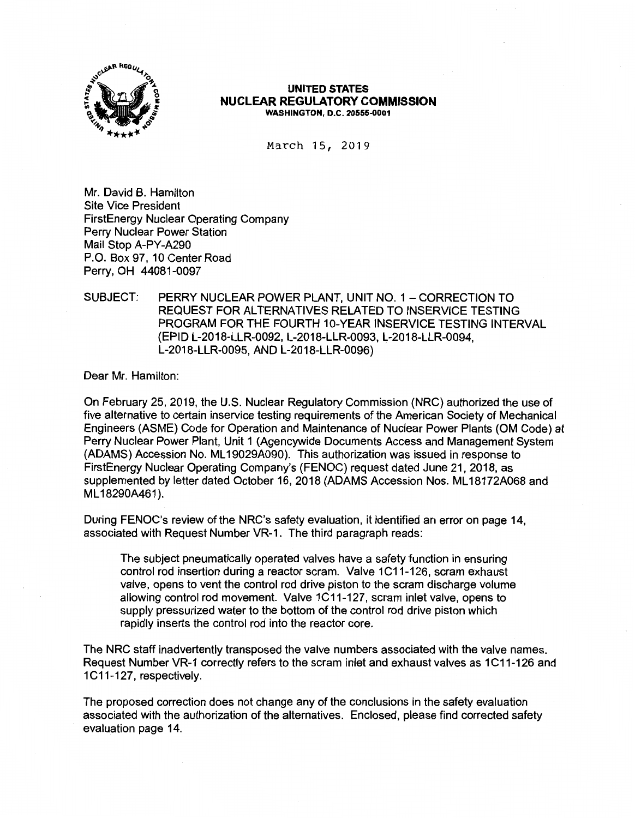

### **UNITED STATES NUCLEAR REGULATORY COMMISSION WASHINGTON, D.C. 20555-0001**

March 15, 2019

Mr. David B. Hamilton Site Vice President FirstEnergy Nuclear Operating Company Perry Nuclear Power Station Mail Stop **A-PY-A290**  P.O. Box 97, 10 Center Road Perry, OH 44081-0097

## SUBJECT: PERRY NUCLEAR POWER PLANT, UNIT NO. 1 - CORRECTION TO REQUEST FOR ALTERNATIVES RELATED TO INSERVICE TESTING PROGRAM FOR THE FOURTH 10-YEAR INSERVICE TESTING INTERVAL (EPID L-2018-LLR-0092, L-2018-LLR-0093, L-2018-LLR-0094, L-2018-LLR-0095, AND L-2018-LLR-0096)

Dear Mr. Hamilton:

On February 25, 2019, the U.S. Nuclear Regulatory Commission (NRC) authorized the use of five alternative to certain inservice testing requirements of the American Society of Mechanical Engineers (ASME) Code for Operation and Maintenance of Nuclear Power Plants (OM Code) at Perry Nuclear Power Plant, Unit 1 (Agencywide Documents Access and Management System (ADAMS) Accession No. ML 19029A090). This authorization was issued in response to FirstEnergy Nuclear Operating Company's (FENOC) request dated June 21, 2018, as supplemented by letter dated October 16, 2018 (ADAMS Accession Nos. ML 18172A068 and ML18290A461).

During FENOC's review of the NRC's safety evaluation, it identified an error on page 14, associated with Request Number VR-1. The third paragraph reads:

The subject pneumatically operated valves have a safety function in ensuring control rod insertion during a reactor scram. Valve 1C11-126, scram exhaust valve, opens to vent the control rod drive piston to the scram discharge volume allowing control rod movement. Valve 1C11-127, scram inlet valve, opens to supply pressurized water to the bottom of the control rod drive piston which rapidly inserts the control rod into the reactor core.

The NRC staff inadvertently transposed the valve numbers associated with the valve names. Request Number VR-1 correctly refers to the scram inlet and exhaust valves as 1C11-126 and 1C11-127, respectively.

The proposed correction does not change any of the conclusions in the safety evaluation associated with the authorization of the alternatives. Enclosed, please find corrected safety evaluation page 14.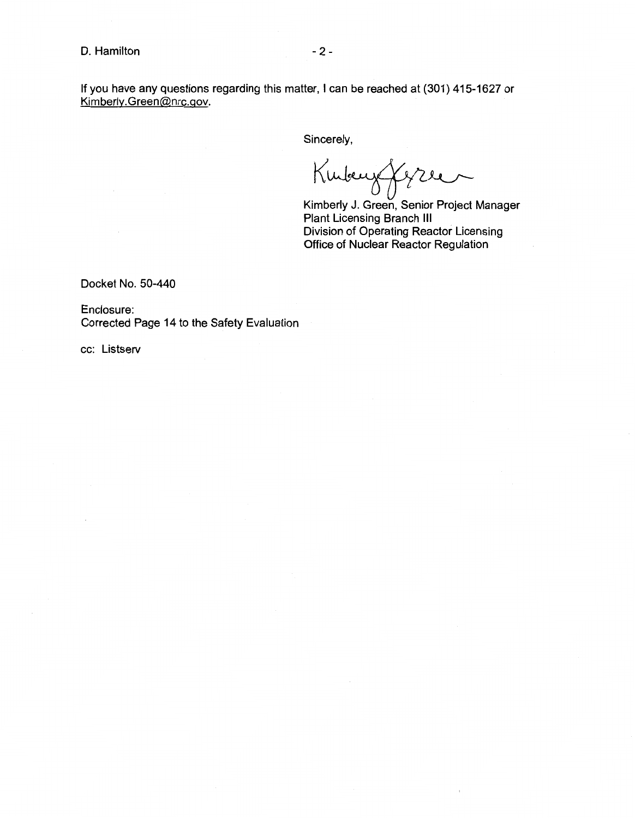If you have any questions regarding this matter, I can be reached at (301) 415-1627 or Kimberly.Green@nrc.gov.

Sincerely,

Kubeny Jezze

Kimberly J. Green, Senior Project Manager Plant Licensing Branch Ill Division of Operating Reactor Licensing Office of Nuclear Reactor Regulation

Docket No. 50-440

Enclosure: Corrected Page 14 to the Safety Evaluation

cc: Listserv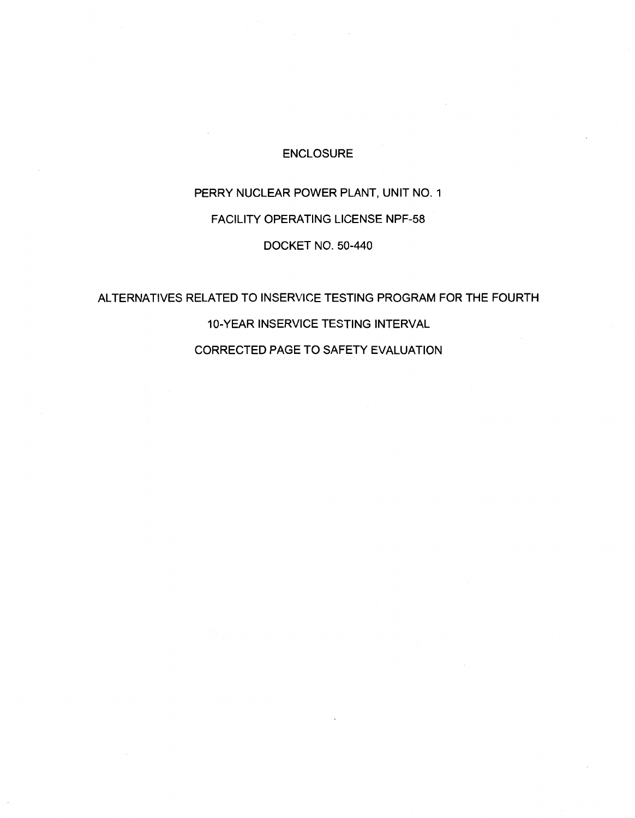# ENCLOSURE

# PERRY NUCLEAR POWER PLANT, UNIT NO. 1 FACILITY OPERATING LICENSE NPF-58

### DOCKET NO. 50-440

# ALTERNATIVES RELATED TO INSERVICE TESTING PROGRAM FOR THE FOURTH 10-YEAR INSERVICE TESTING INTERVAL

CORRECTED PAGE TO SAFETY EVALUATION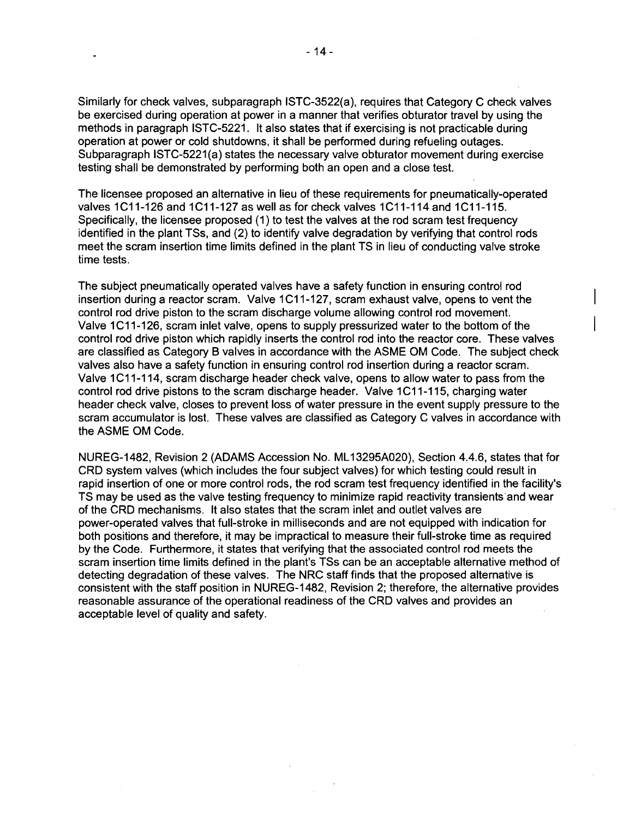Similarly for check valves, subparagraph ISTC-3522(a), requires that Category C check valves be exercised during operation at power in a manner that verifies obturator travel by using the methods in paragraph ISTC-5221. It also states that if exercising is not practicable during operation at power or cold shutdowns, it shall be performed during refueling outages. Subparagraph ISTC-5221(a) states the necessary valve obturator movement during exercise testing shall be demonstrated by performing both an open and a close test.

The licensee proposed an alternative in lieu of these requirements for pneumatically-operated valves 1C11-126 and 1C11-127 as well as for check valves 1C11-114 and 1C11-115. Specifically, the licensee proposed (1) to test the valves at the rod scram test frequency identified in the plant TSs, and (2) to identify valve degradation by verifying that control rods meet the scram insertion time limits defined in the plant TS in lieu of conducting valve stroke time tests.

The subject pneumatically operated valves have a safety function in ensuring control rod insertion during a reactor scram. Valve 1C11-127, scram exhaust valve, opens to vent the control rod drive piston to the scram discharge volume allowing control rod movement. Valve 1C11-126, scram inlet valve, opens to supply pressurized water to the bottom of the control rod drive piston which rapidly inserts the control rod into the reactor core. These valves are classified as Category B valves in accordance with the ASME OM Code. The subject check valves also have a safety function in ensuring control rod insertion during a reactor scram. Valve 1C11-114, scram discharge header check valve, opens to allow water to pass from the control rod drive pistons to the scram discharge header. Valve 1C11-115, charging water header check valve, closes to prevent loss of water pressure in the event supply pressure to the scram accumulator is lost. These valves are classified as Category C valves in accordance with the ASME OM Code.

NUREG-1482, Revision 2 (ADAMS Accession No. ML 13295A020), Section 4.4.6, states that for CRD system valves (which includes the four subject valves) for which testing could result in rapid insertion of one or more control rods, the rod scram test frequency identified in the facility's TS may be used as the valve testing frequency to minimize rapid reactivity transients and wear of the CRD mechanisms. It also states that the scram inlet and outlet valves are power-operated valves that full-stroke in milliseconds and are not equipped with indication for both positions and therefore, it may be impractical to measure their full-stroke time as required by the Code. Furthermore, it states that verifying that the associated control rod meets the scram insertion time limits defined in the plant's TSs can be an acceptable alternative method of detecting degradation of these valves. The NRC staff finds that the proposed alternative is consistent with the staff position in NUREG-1482, Revision 2; therefore, the alternative provides reasonable assurance of the operational readiness of the CRD valves and provides an acceptable level of quality and safety.